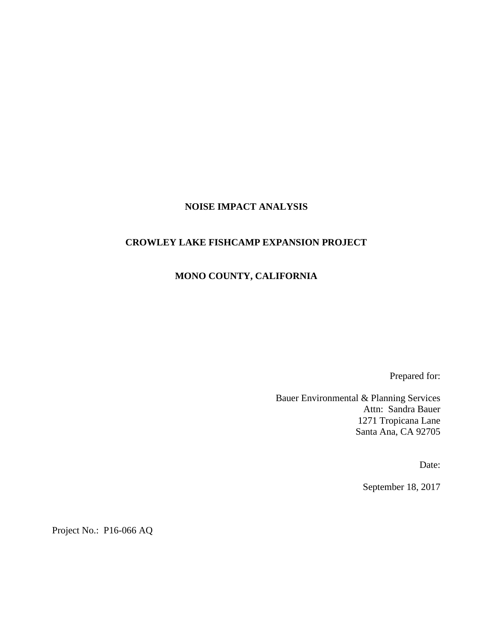#### **NOISE IMPACT ANALYSIS**

#### **CROWLEY LAKE FISHCAMP EXPANSION PROJECT**

## **MONO COUNTY, CALIFORNIA**

Prepared for:

Bauer Environmental & Planning Services Attn: Sandra Bauer 1271 Tropicana Lane Santa Ana, CA 92705

Date:

September 18, 2017

Project No.: P16-066 AQ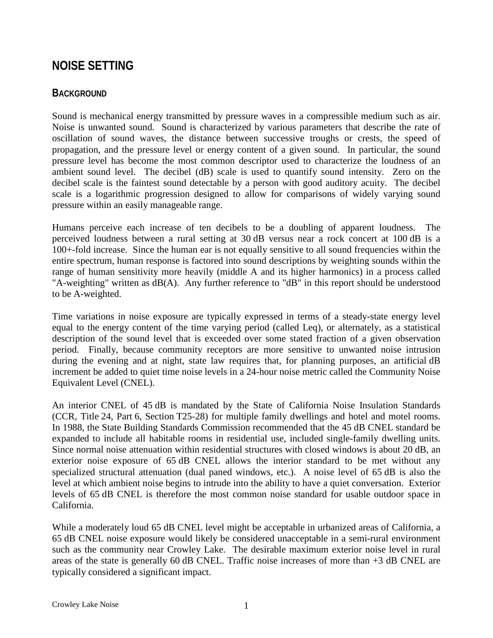# **NOISE SETTING**

### **BACKGROUND**

Sound is mechanical energy transmitted by pressure waves in a compressible medium such as air. Noise is unwanted sound. Sound is characterized by various parameters that describe the rate of oscillation of sound waves, the distance between successive troughs or crests, the speed of propagation, and the pressure level or energy content of a given sound. In particular, the sound pressure level has become the most common descriptor used to characterize the loudness of an ambient sound level. The decibel (dB) scale is used to quantify sound intensity. Zero on the decibel scale is the faintest sound detectable by a person with good auditory acuity. The decibel scale is a logarithmic progression designed to allow for comparisons of widely varying sound pressure within an easily manageable range.

Humans perceive each increase of ten decibels to be a doubling of apparent loudness. The perceived loudness between a rural setting at 30 dB versus near a rock concert at 100 dB is a 100+-fold increase. Since the human ear is not equally sensitive to all sound frequencies within the entire spectrum, human response is factored into sound descriptions by weighting sounds within the range of human sensitivity more heavily (middle A and its higher harmonics) in a process called "A-weighting" written as dB(A). Any further reference to "dB" in this report should be understood to be A-weighted.

Time variations in noise exposure are typically expressed in terms of a steady-state energy level equal to the energy content of the time varying period (called Leq), or alternately, as a statistical description of the sound level that is exceeded over some stated fraction of a given observation period. Finally, because community receptors are more sensitive to unwanted noise intrusion during the evening and at night, state law requires that, for planning purposes, an artificial dB increment be added to quiet time noise levels in a 24-hour noise metric called the Community Noise Equivalent Level (CNEL).

An interior CNEL of 45 dB is mandated by the State of California Noise Insulation Standards (CCR, Title 24, Part 6, Section T25-28) for multiple family dwellings and hotel and motel rooms. In 1988, the State Building Standards Commission recommended that the 45 dB CNEL standard be expanded to include all habitable rooms in residential use, included single-family dwelling units. Since normal noise attenuation within residential structures with closed windows is about 20 dB, an exterior noise exposure of 65 dB CNEL allows the interior standard to be met without any specialized structural attenuation (dual paned windows, etc.). A noise level of 65 dB is also the level at which ambient noise begins to intrude into the ability to have a quiet conversation. Exterior levels of 65 dB CNEL is therefore the most common noise standard for usable outdoor space in California.

While a moderately loud 65 dB CNEL level might be acceptable in urbanized areas of California, a 65 dB CNEL noise exposure would likely be considered unacceptable in a semi-rural environment such as the community near Crowley Lake. The desirable maximum exterior noise level in rural areas of the state is generally 60 dB CNEL. Traffic noise increases of more than  $+3$  dB CNEL are typically considered a significant impact.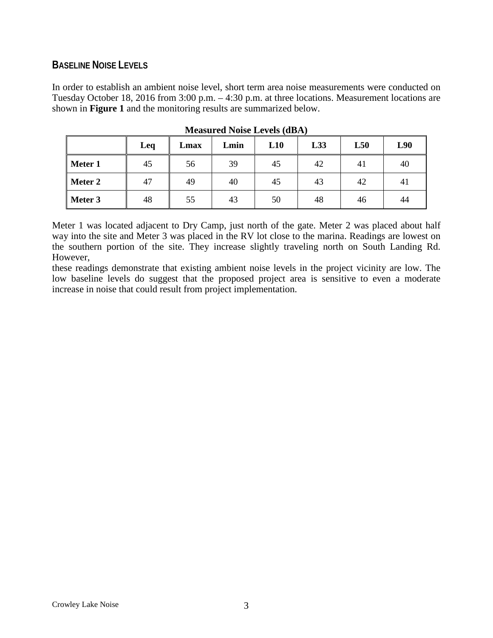### **BASELINE NOISE LEVELS**

In order to establish an ambient noise level, short term area noise measurements were conducted on Tuesday October 18, 2016 from 3:00 p.m. – 4:30 p.m. at three locations. Measurement locations are shown in **Figure 1** and the monitoring results are summarized below.

|         | Leq | Lmax | Lmin | L10 | L33 | L50 | L90 |
|---------|-----|------|------|-----|-----|-----|-----|
| Meter 1 | 45  | 56   | 39   | 45  | 42  | 41  | 40  |
| Meter 2 | 47  | 49   | 40   | 45  | 43  | 42  | 41  |
| Meter 3 | 48  | 55   | 43   | 50  | 48  | 46  | 44  |

**Measured Noise Levels (dBA)**

Meter 1 was located adjacent to Dry Camp, just north of the gate. Meter 2 was placed about half way into the site and Meter 3 was placed in the RV lot close to the marina. Readings are lowest on the southern portion of the site. They increase slightly traveling north on South Landing Rd. However,

these readings demonstrate that existing ambient noise levels in the project vicinity are low. The low baseline levels do suggest that the proposed project area is sensitive to even a moderate increase in noise that could result from project implementation.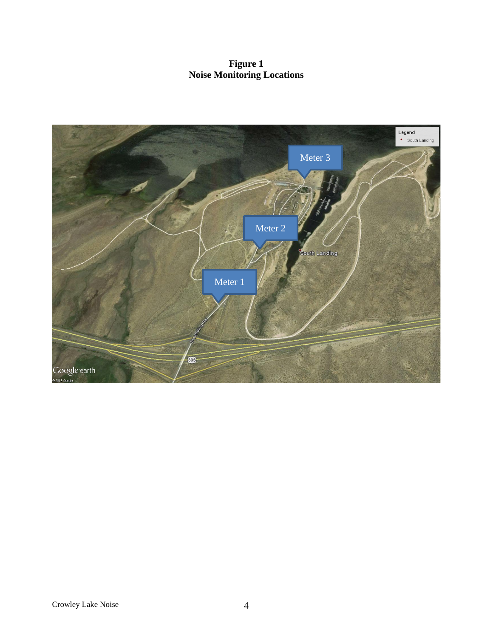**Figure 1 Noise Monitoring Locations**

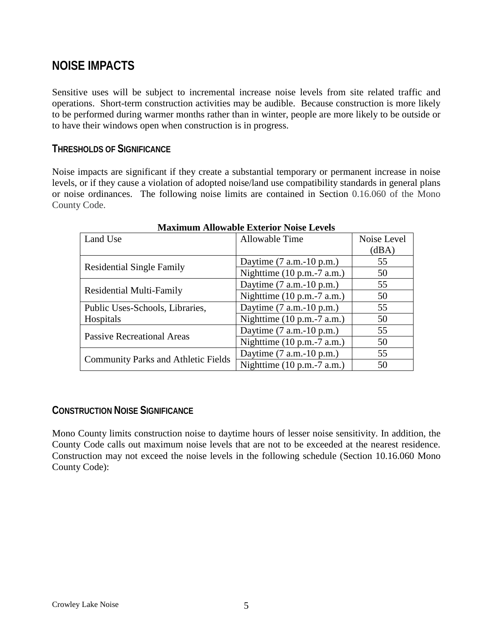# **NOISE IMPACTS**

Sensitive uses will be subject to incremental increase noise levels from site related traffic and operations. Short-term construction activities may be audible. Because construction is more likely to be performed during warmer months rather than in winter, people are more likely to be outside or to have their windows open when construction is in progress.

#### **THRESHOLDS OF SIGNIFICANCE**

Noise impacts are significant if they create a substantial temporary or permanent increase in noise levels, or if they cause a violation of adopted noise/land use compatibility standards in general plans or noise ordinances. The following noise limits are contained in Section 0.16.060 of the Mono County Code.

| Land Use                                   | Allowable Time                                 | Noise Level |
|--------------------------------------------|------------------------------------------------|-------------|
|                                            |                                                | (dBA)       |
|                                            | Daytime $(7 a.m.-10 p.m.)$                     | 55          |
| <b>Residential Single Family</b>           | Nighttime $(10 p.m.-7 a.m.)$                   | 50          |
|                                            | Daytime $(7 a.m.-10 p.m.)$                     | 55          |
| <b>Residential Multi-Family</b>            | Nighttime $(10 p.m.-7 a.m.)$                   | 50          |
| Public Uses-Schools, Libraries,            | Daytime $(7 a.m.-10 p.m.)$                     | 55          |
| Hospitals                                  | Nighttime $(10 \text{ p.m.} - 7 \text{ a.m.})$ | 50          |
| <b>Passive Recreational Areas</b>          | Daytime $(7 a.m.-10 p.m.)$                     | 55          |
|                                            | Nighttime $(10 p.m.-7 a.m.)$                   | 50          |
|                                            | Daytime $(7 a.m.-10 p.m.)$                     | 55          |
| <b>Community Parks and Athletic Fields</b> | Nighttime $(10 p.m.-7 a.m.)$                   | 50          |

#### **Maximum Allowable Exterior Noise Levels**

### **CONSTRUCTION NOISE SIGNIFICANCE**

Mono County limits construction noise to daytime hours of lesser noise sensitivity. In addition, the County Code calls out maximum noise levels that are not to be exceeded at the nearest residence. Construction may not exceed the noise levels in the following schedule (Section 10.16.060 Mono County Code):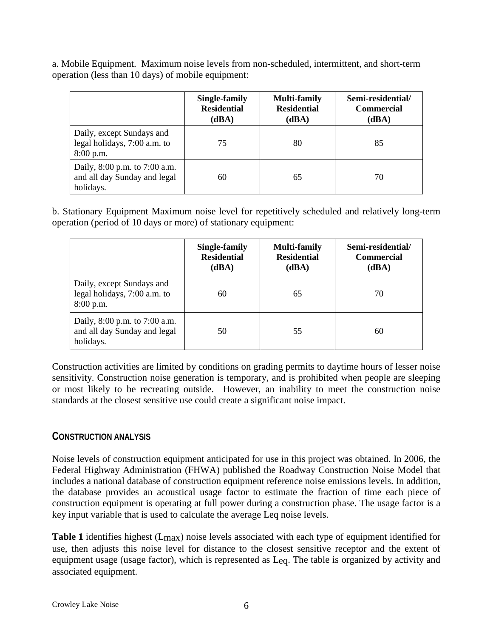a. Mobile Equipment. Maximum noise levels from non-scheduled, intermittent, and short-term operation (less than 10 days) of mobile equipment:

|                                                                            | Single-family<br><b>Residential</b><br>(dBA) | <b>Multi-family</b><br><b>Residential</b><br>(dBA) | Semi-residential/<br><b>Commercial</b><br>(dBA) |
|----------------------------------------------------------------------------|----------------------------------------------|----------------------------------------------------|-------------------------------------------------|
| Daily, except Sundays and<br>legal holidays, 7:00 a.m. to<br>$8:00$ p.m.   | 75                                           | 80                                                 | 85                                              |
| Daily, 8:00 p.m. to 7:00 a.m.<br>and all day Sunday and legal<br>holidays. | 60                                           | 65                                                 | 70                                              |

b. Stationary Equipment Maximum noise level for repetitively scheduled and relatively long-term operation (period of 10 days or more) of stationary equipment:

|                                                                            | Single-family<br><b>Residential</b><br>(dBA) | <b>Multi-family</b><br><b>Residential</b><br>(dBA) | Semi-residential/<br><b>Commercial</b><br>(dBA) |
|----------------------------------------------------------------------------|----------------------------------------------|----------------------------------------------------|-------------------------------------------------|
| Daily, except Sundays and<br>legal holidays, 7:00 a.m. to<br>$8:00$ p.m.   | 60                                           | 65                                                 | 70                                              |
| Daily, 8:00 p.m. to 7:00 a.m.<br>and all day Sunday and legal<br>holidays. | 50                                           | 55                                                 | 60                                              |

Construction activities are limited by conditions on grading permits to daytime hours of lesser noise sensitivity. Construction noise generation is temporary, and is prohibited when people are sleeping or most likely to be recreating outside. However, an inability to meet the construction noise standards at the closest sensitive use could create a significant noise impact.

#### **CONSTRUCTION ANALYSIS**

Noise levels of construction equipment anticipated for use in this project was obtained. In 2006, the Federal Highway Administration (FHWA) published the Roadway Construction Noise Model that includes a national database of construction equipment reference noise emissions levels. In addition, the database provides an acoustical usage factor to estimate the fraction of time each piece of construction equipment is operating at full power during a construction phase. The usage factor is a key input variable that is used to calculate the average Leq noise levels.

**Table 1** identifies highest (Lmax) noise levels associated with each type of equipment identified for use, then adjusts this noise level for distance to the closest sensitive receptor and the extent of equipment usage (usage factor), which is represented as Leq. The table is organized by activity and associated equipment.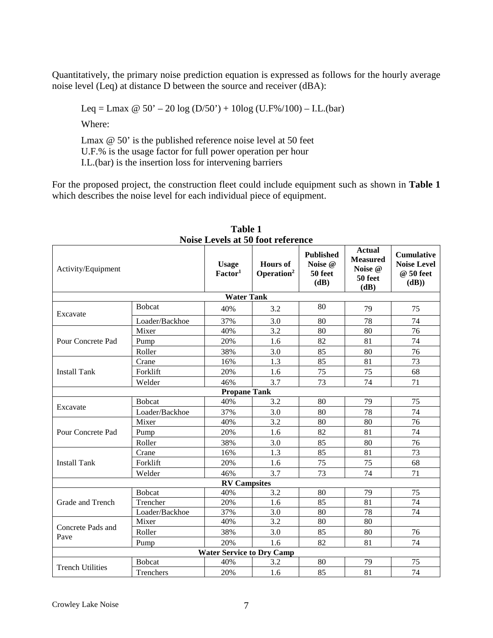Quantitatively, the primary noise prediction equation is expressed as follows for the hourly average noise level (Leq) at distance D between the source and receiver (dBA):

Leq = Lmax  $\omega$  50' – 20 log (D/50') + 10log (U.F%/100) – I.L.(bar)

Where:

Lmax @ 50' is the published reference noise level at 50 feet U.F.% is the usage factor for full power operation per hour I.L.(bar) is the insertion loss for intervening barriers

For the proposed project, the construction fleet could include equipment such as shown in **Table 1** which describes the noise level for each individual piece of equipment.

| TWISC LEVELS AT 50 TOOT TEICHEINE |                |                                     |                                           |                                                |                                                                |                                                               |
|-----------------------------------|----------------|-------------------------------------|-------------------------------------------|------------------------------------------------|----------------------------------------------------------------|---------------------------------------------------------------|
| Activity/Equipment                |                | <b>Usage</b><br>Factor <sup>1</sup> | <b>Hours</b> of<br>Operation <sup>2</sup> | <b>Published</b><br>Noise @<br>50 feet<br>(dB) | <b>Actual</b><br><b>Measured</b><br>Noise @<br>50 feet<br>(dB) | <b>Cumulative</b><br><b>Noise Level</b><br>@ 50 feet<br>(dB)) |
|                                   |                | <b>Water Tank</b>                   |                                           |                                                |                                                                |                                                               |
| Excavate                          | <b>B</b> obcat | 40%                                 | 3.2                                       | 80                                             | 79                                                             | 75                                                            |
|                                   | Loader/Backhoe | 37%                                 | 3.0                                       | 80                                             | 78                                                             | 74                                                            |
|                                   | Mixer          | 40%                                 | 3.2                                       | 80                                             | 80                                                             | 76                                                            |
| Pour Concrete Pad                 | Pump           | 20%                                 | 1.6                                       | 82                                             | 81                                                             | 74                                                            |
|                                   | Roller         | 38%                                 | 3.0                                       | 85                                             | 80                                                             | 76                                                            |
|                                   | Crane          | 16%                                 | 1.3                                       | 85                                             | 81                                                             | 73                                                            |
| <b>Install Tank</b>               | Forklift       | 20%                                 | 1.6                                       | 75                                             | 75                                                             | 68                                                            |
|                                   | Welder         | 46%                                 | 3.7                                       | 73                                             | 74                                                             | 71                                                            |
|                                   |                | <b>Propane Tank</b>                 |                                           |                                                |                                                                |                                                               |
|                                   | <b>Bobcat</b>  | 40%                                 | 3.2                                       | 80                                             | 79                                                             | 75                                                            |
| Excavate                          | Loader/Backhoe | 37%                                 | 3.0                                       | 80                                             | 78                                                             | 74                                                            |
|                                   | Mixer          | 40%                                 | 3.2                                       | 80                                             | 80                                                             | $\overline{76}$                                               |
| Pour Concrete Pad                 | Pump           | 20%                                 | 1.6                                       | 82                                             | 81                                                             | 74                                                            |
|                                   | Roller         | 38%                                 | 3.0                                       | 85                                             | 80                                                             | 76                                                            |
|                                   | Crane          | 16%                                 | 1.3                                       | 85                                             | 81                                                             | 73                                                            |
| <b>Install Tank</b>               | Forklift       | 20%                                 | 1.6                                       | 75                                             | 75                                                             | 68                                                            |
|                                   | Welder         | 46%                                 | 3.7                                       | 73                                             | 74                                                             | 71                                                            |
|                                   |                | <b>RV Campsites</b>                 |                                           |                                                |                                                                |                                                               |
|                                   | <b>Bobcat</b>  | 40%                                 | 3.2                                       | 80                                             | 79                                                             | 75                                                            |
| Grade and Trench                  | Trencher       | 20%                                 | 1.6                                       | 85                                             | 81                                                             | 74                                                            |
|                                   | Loader/Backhoe | 37%                                 | 3.0                                       | 80                                             | 78                                                             | $\overline{74}$                                               |
| Concrete Pads and                 | Mixer          | 40%                                 | 3.2                                       | 80                                             | 80                                                             |                                                               |
| Pave                              | Roller         | 38%                                 | 3.0                                       | 85                                             | 80                                                             | 76                                                            |
|                                   | Pump           | 20%                                 | 1.6                                       | 82                                             | 81                                                             | 74                                                            |
| <b>Water Service to Dry Camp</b>  |                |                                     |                                           |                                                |                                                                |                                                               |
| <b>Trench Utilities</b>           | <b>B</b> obcat | 40%                                 | 3.2                                       | 80                                             | 79                                                             | 75                                                            |
|                                   | Trenchers      | 20%                                 | 1.6                                       | 85                                             | 81                                                             | 74                                                            |

**Table 1 Noise Levels at 50 foot reference**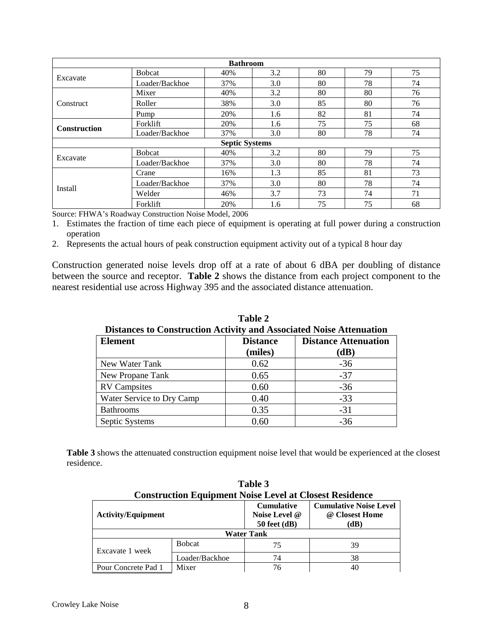| <b>Bathroom</b>     |                |                       |     |    |    |    |
|---------------------|----------------|-----------------------|-----|----|----|----|
|                     | <b>B</b> obcat | 40%                   | 3.2 | 80 | 79 | 75 |
| Excavate            | Loader/Backhoe | 37%                   | 3.0 | 80 | 78 | 74 |
|                     | Mixer          | 40%                   | 3.2 | 80 | 80 | 76 |
| <b>Construct</b>    | Roller         | 38%                   | 3.0 | 85 | 80 | 76 |
|                     | Pump           | 20%                   | 1.6 | 82 | 81 | 74 |
| <b>Construction</b> | Forklift       | 20%                   | 1.6 | 75 | 75 | 68 |
|                     | Loader/Backhoe | 37%                   | 3.0 | 80 | 78 | 74 |
|                     |                | <b>Septic Systems</b> |     |    |    |    |
|                     | <b>Bobcat</b>  | 40%                   | 3.2 | 80 | 79 | 75 |
| Excavate            | Loader/Backhoe | 37%                   | 3.0 | 80 | 78 | 74 |
|                     | Crane          | 16%                   | 1.3 | 85 | 81 | 73 |
| <b>Install</b>      | Loader/Backhoe | 37%                   | 3.0 | 80 | 78 | 74 |
|                     | Welder         | 46%                   | 3.7 | 73 | 74 | 71 |
|                     | Forklift       | 20%                   | 1.6 | 75 | 75 | 68 |

Source: FHWA's Roadway Construction Noise Model, 2006

1. Estimates the fraction of time each piece of equipment is operating at full power during a construction operation

2. Represents the actual hours of peak construction equipment activity out of a typical 8 hour day

Construction generated noise levels drop off at a rate of about 6 dBA per doubling of distance between the source and receptor. **Table 2** shows the distance from each project component to the nearest residential use across Highway 395 and the associated distance attenuation.

| Distances to Construction Activity and Associated Noise Attenuation<br><b>Element</b> | <b>Distance</b><br>(miles) | <b>Distance Attenuation</b><br>(dB) |
|---------------------------------------------------------------------------------------|----------------------------|-------------------------------------|
| New Water Tank                                                                        | 0.62                       | $-36$                               |
| New Propane Tank                                                                      | 0.65                       | $-37$                               |
| <b>RV</b> Campsites                                                                   | 0.60                       | $-36$                               |
| Water Service to Dry Camp                                                             | 0.40                       | $-33$                               |
| <b>Bathrooms</b>                                                                      | 0.35                       | $-31$                               |
| Septic Systems                                                                        | 0.60                       | $-36$                               |

**Table 2 Distances to Construction Activity and Associated Noise Attenuation**

**Table 3** shows the attenuated construction equipment noise level that would be experienced at the closest residence.

| Table 3                                                        |                |                                                        |                                                         |  |  |  |
|----------------------------------------------------------------|----------------|--------------------------------------------------------|---------------------------------------------------------|--|--|--|
| <b>Construction Equipment Noise Level at Closest Residence</b> |                |                                                        |                                                         |  |  |  |
| <b>Activity/Equipment</b>                                      |                | <b>Cumulative</b><br>Noise Level @<br>$50$ feet $(dB)$ | <b>Cumulative Noise Level</b><br>@ Closest Home<br>(dB) |  |  |  |
| <b>Water Tank</b>                                              |                |                                                        |                                                         |  |  |  |
| Excavate 1 week                                                | <b>B</b> obcat | 75                                                     | 39                                                      |  |  |  |
|                                                                | Loader/Backhoe | 74                                                     | 38                                                      |  |  |  |
| Pour Concrete Pad 1                                            | Mixer          | 76                                                     | 40                                                      |  |  |  |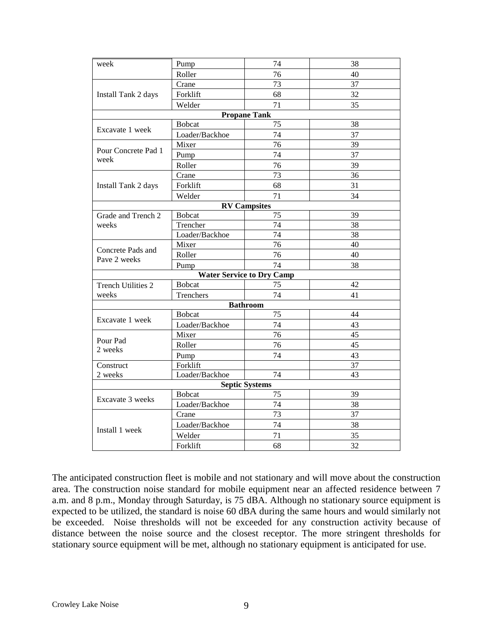| week                              | Pump           | 74                               | 38 |
|-----------------------------------|----------------|----------------------------------|----|
|                                   | Roller         | 76                               | 40 |
|                                   | Crane          | 73                               | 37 |
| Install Tank 2 days               | Forklift       | 68                               | 32 |
|                                   | Welder         | 71                               | 35 |
|                                   |                | <b>Propane Tank</b>              |    |
|                                   | <b>Bobcat</b>  | 75                               | 38 |
| Excavate 1 week                   | Loader/Backhoe | 74                               | 37 |
|                                   | Mixer          | 76                               | 39 |
| Pour Concrete Pad 1               | Pump           | 74                               | 37 |
| week                              | Roller         | 76                               | 39 |
|                                   | Crane          | 73                               | 36 |
| Install Tank 2 days               | Forklift       | 68                               | 31 |
|                                   | Welder         | 71                               | 34 |
|                                   |                | <b>RV Campsites</b>              |    |
| Grade and Trench 2                | <b>Bobcat</b>  | 75                               | 39 |
| weeks                             | Trencher       | 74                               | 38 |
|                                   | Loader/Backhoe | 74                               | 38 |
| Concrete Pads and<br>Pave 2 weeks | Mixer          | 76                               | 40 |
|                                   | Roller         | 76                               | 40 |
|                                   | Pump           | 74                               | 38 |
|                                   |                | <b>Water Service to Dry Camp</b> |    |
| <b>Trench Utilities 2</b>         | <b>Bobcat</b>  | 75                               | 42 |
| weeks                             | Trenchers      | 74                               | 41 |
|                                   |                | <b>Bathroom</b>                  |    |
|                                   | <b>B</b> obcat | 75                               | 44 |
| Excavate 1 week                   | Loader/Backhoe | 74                               | 43 |
|                                   | Mixer          | 76                               | 45 |
| Pour Pad                          | Roller         | 76                               | 45 |
| 2 weeks                           | Pump           | 74                               | 43 |
| Construct                         | Forklift       |                                  | 37 |
| 2 weeks                           | Loader/Backhoe | 74                               | 43 |
|                                   |                | <b>Septic Systems</b>            |    |
|                                   | <b>Bobcat</b>  | 75                               | 39 |
| Excavate 3 weeks                  | Loader/Backhoe | 74                               | 38 |
|                                   | Crane          | 73                               | 37 |
|                                   | Loader/Backhoe | 74                               | 38 |
| Install 1 week                    | Welder         | 71                               | 35 |
|                                   | Forklift       | 68                               | 32 |

The anticipated construction fleet is mobile and not stationary and will move about the construction area. The construction noise standard for mobile equipment near an affected residence between 7 a.m. and 8 p.m., Monday through Saturday, is 75 dBA. Although no stationary source equipment is expected to be utilized, the standard is noise 60 dBA during the same hours and would similarly not be exceeded. Noise thresholds will not be exceeded for any construction activity because of distance between the noise source and the closest receptor. The more stringent thresholds for stationary source equipment will be met, although no stationary equipment is anticipated for use.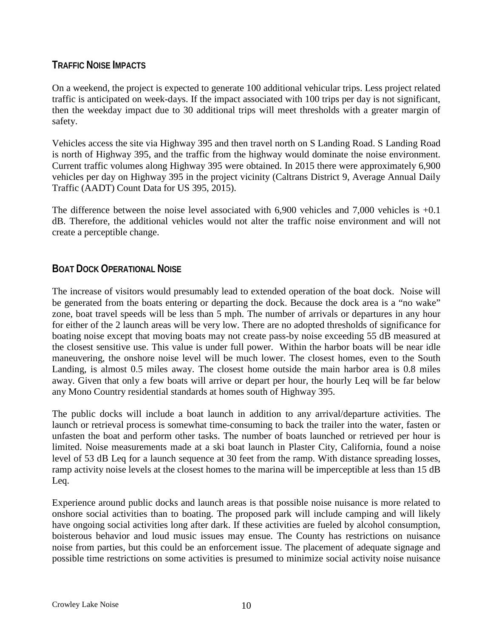### **TRAFFIC NOISE IMPACTS**

On a weekend, the project is expected to generate 100 additional vehicular trips. Less project related traffic is anticipated on week-days. If the impact associated with 100 trips per day is not significant, then the weekday impact due to 30 additional trips will meet thresholds with a greater margin of safety.

Vehicles access the site via Highway 395 and then travel north on S Landing Road. S Landing Road is north of Highway 395, and the traffic from the highway would dominate the noise environment. Current traffic volumes along Highway 395 were obtained. In 2015 there were approximately 6,900 vehicles per day on Highway 395 in the project vicinity (Caltrans District 9, Average Annual Daily Traffic (AADT) Count Data for US 395, 2015).

The difference between the noise level associated with 6,900 vehicles and 7,000 vehicles is +0.1 dB. Therefore, the additional vehicles would not alter the traffic noise environment and will not create a perceptible change.

## **BOAT DOCK OPERATIONAL NOISE**

The increase of visitors would presumably lead to extended operation of the boat dock. Noise will be generated from the boats entering or departing the dock. Because the dock area is a "no wake" zone, boat travel speeds will be less than 5 mph. The number of arrivals or departures in any hour for either of the 2 launch areas will be very low. There are no adopted thresholds of significance for boating noise except that moving boats may not create pass-by noise exceeding 55 dB measured at the closest sensitive use. This value is under full power. Within the harbor boats will be near idle maneuvering, the onshore noise level will be much lower. The closest homes, even to the South Landing, is almost 0.5 miles away. The closest home outside the main harbor area is 0.8 miles away. Given that only a few boats will arrive or depart per hour, the hourly Leq will be far below any Mono Country residential standards at homes south of Highway 395.

The public docks will include a boat launch in addition to any arrival/departure activities. The launch or retrieval process is somewhat time-consuming to back the trailer into the water, fasten or unfasten the boat and perform other tasks. The number of boats launched or retrieved per hour is limited. Noise measurements made at a ski boat launch in Plaster City, California, found a noise level of 53 dB Leq for a launch sequence at 30 feet from the ramp. With distance spreading losses, ramp activity noise levels at the closest homes to the marina will be imperceptible at less than 15 dB Leq.

Experience around public docks and launch areas is that possible noise nuisance is more related to onshore social activities than to boating. The proposed park will include camping and will likely have ongoing social activities long after dark. If these activities are fueled by alcohol consumption, boisterous behavior and loud music issues may ensue. The County has restrictions on nuisance noise from parties, but this could be an enforcement issue. The placement of adequate signage and possible time restrictions on some activities is presumed to minimize social activity noise nuisance